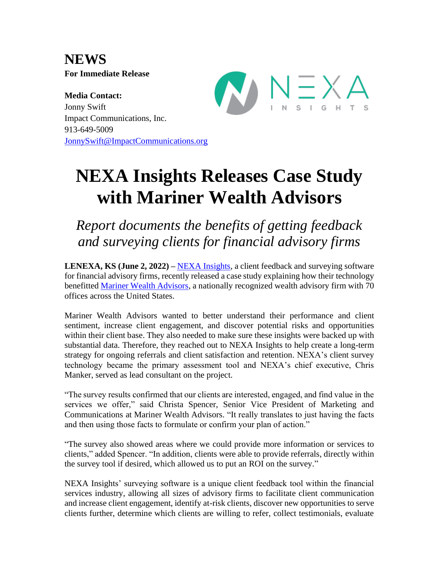**NEWS For Immediate Release**

**Media Contact:** Jonny Swift Impact Communications, Inc. 913-649-5009 [JonnySwift@ImpactCommunications.org](mailto:JonnySwift@ImpactCommunications.org)



## **NEXA Insights Releases Case Study with Mariner Wealth Advisors**

*Report documents the benefits of getting feedback and surveying clients for financial advisory firms*

**LENEXA, KS (June 2, 2022) –** [NEXA Insights,](https://www.nexainsights.com/) a client feedback and surveying software for financial advisory firms, recently released a case study explaining how their technology benefitted [Mariner Wealth Advisors,](https://www.marinerwealthadvisors.com/) a nationally recognized wealth advisory firm with 70 offices across the United States.

Mariner Wealth Advisors wanted to better understand their performance and client sentiment, increase client engagement, and discover potential risks and opportunities within their client base. They also needed to make sure these insights were backed up with substantial data. Therefore, they reached out to NEXA Insights to help create a long-term strategy for ongoing referrals and client satisfaction and retention. NEXA's client survey technology became the primary assessment tool and NEXA's chief executive, Chris Manker, served as lead consultant on the project.

"The survey results confirmed that our clients are interested, engaged, and find value in the services we offer," said Christa Spencer, Senior Vice President of Marketing and Communications at Mariner Wealth Advisors. "It really translates to just having the facts and then using those facts to formulate or confirm your plan of action."

"The survey also showed areas where we could provide more information or services to clients," added Spencer. "In addition, clients were able to provide referrals, directly within the survey tool if desired, which allowed us to put an ROI on the survey."

NEXA Insights' surveying software is a unique client feedback tool within the financial services industry, allowing all sizes of advisory firms to facilitate client communication and increase client engagement, identify at-risk clients, discover new opportunities to serve clients further, determine which clients are willing to refer, collect testimonials, evaluate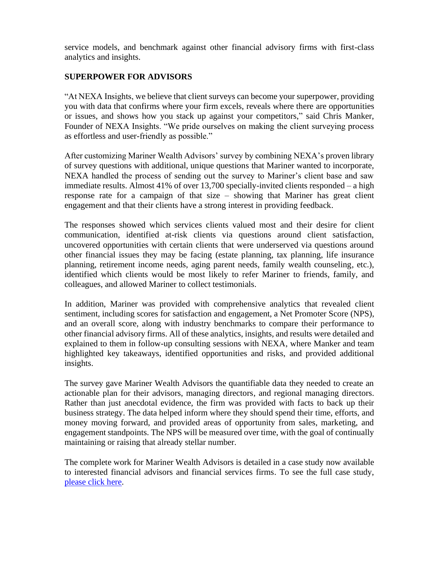service models, and benchmark against other financial advisory firms with first-class analytics and insights.

## **SUPERPOWER FOR ADVISORS**

"At NEXA Insights, we believe that client surveys can become your superpower, providing you with data that confirms where your firm excels, reveals where there are opportunities or issues, and shows how you stack up against your competitors," said Chris Manker, Founder of NEXA Insights. "We pride ourselves on making the client surveying process as effortless and user-friendly as possible."

After customizing Mariner Wealth Advisors' survey by combining NEXA's proven library of survey questions with additional, unique questions that Mariner wanted to incorporate, NEXA handled the process of sending out the survey to Mariner's client base and saw immediate results. Almost 41% of over 13,700 specially-invited clients responded – a high response rate for a campaign of that size – showing that Mariner has great client engagement and that their clients have a strong interest in providing feedback.

The responses showed which services clients valued most and their desire for client communication, identified at-risk clients via questions around client satisfaction, uncovered opportunities with certain clients that were underserved via questions around other financial issues they may be facing (estate planning, tax planning, life insurance planning, retirement income needs, aging parent needs, family wealth counseling, etc.), identified which clients would be most likely to refer Mariner to friends, family, and colleagues, and allowed Mariner to collect testimonials.

In addition, Mariner was provided with comprehensive analytics that revealed client sentiment, including scores for satisfaction and engagement, a Net Promoter Score (NPS), and an overall score, along with industry benchmarks to compare their performance to other financial advisory firms. All of these analytics, insights, and results were detailed and explained to them in follow-up consulting sessions with NEXA, where Manker and team highlighted key takeaways, identified opportunities and risks, and provided additional insights.

The survey gave Mariner Wealth Advisors the quantifiable data they needed to create an actionable plan for their advisors, managing directors, and regional managing directors. Rather than just anecdotal evidence, the firm was provided with facts to back up their business strategy. The data helped inform where they should spend their time, efforts, and money moving forward, and provided areas of opportunity from sales, marketing, and engagement standpoints. The NPS will be measured over time, with the goal of continually maintaining or raising that already stellar number.

The complete work for Mariner Wealth Advisors is detailed in a case study now available to interested financial advisors and financial services firms. To see the full case study, [please click here.](https://www.nexainsights.com/case_studies.aspx)